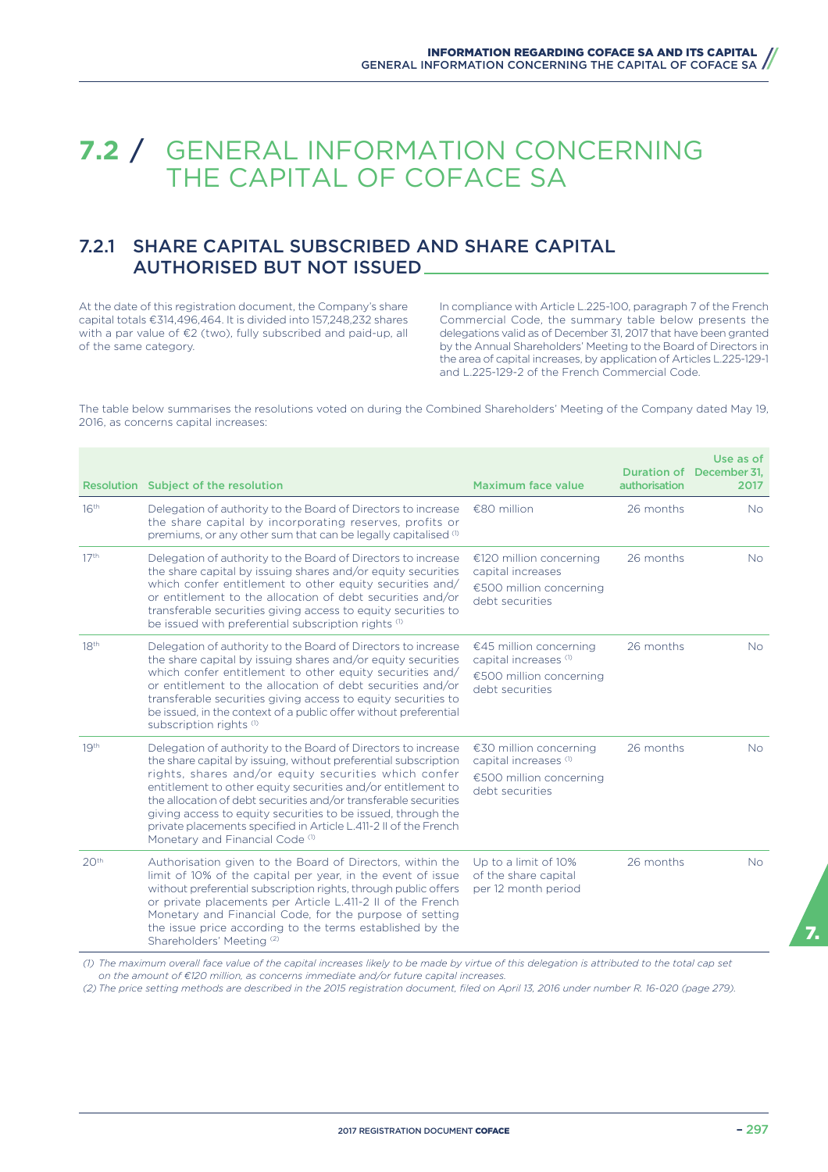# **7.2** / GENERAL INFORMATION CONCERNING THE CAPITAL OF COFACE SA

# 7.2.1 SHARE CAPITAL SUBSCRIBED AND SHARE CAPITAL AUTHORISED BUT NOT ISSUED

At the date of this registration document, the Company's share capital totals €314,496,464. It is divided into 157,248,232 shares with a par value of €2 (two), fully subscribed and paid-up, all of the same category.

In compliance with Article L.225-100, paragraph 7 of the French Commercial Code, the summary table below presents the delegations valid as of December 31, 2017 that have been granted by the Annual Shareholders' Meeting to the Board of Directors in the area of capital increases, by application of Articles L.225-129-1 and L.225-129-2 of the French Commercial Code.

The table below summarises the resolutions voted on during the Combined Shareholders' Meeting of the Company dated May 19, 2016, as concerns capital increases:

|                  | Resolution Subject of the resolution                                                                                                                                                                                                                                                                                                                                                                                                                                                                           | <b>Maximum face value</b>                                                                                | authorisation | Use as of<br>Duration of December 31.<br>2017 |
|------------------|----------------------------------------------------------------------------------------------------------------------------------------------------------------------------------------------------------------------------------------------------------------------------------------------------------------------------------------------------------------------------------------------------------------------------------------------------------------------------------------------------------------|----------------------------------------------------------------------------------------------------------|---------------|-----------------------------------------------|
| 16 <sup>th</sup> | Delegation of authority to the Board of Directors to increase<br>the share capital by incorporating reserves, profits or<br>premiums, or any other sum that can be legally capitalised (1)                                                                                                                                                                                                                                                                                                                     | $€80$ million                                                                                            | 26 months     | N <sub>o</sub>                                |
| 17 <sup>th</sup> | Delegation of authority to the Board of Directors to increase<br>the share capital by issuing shares and/or equity securities<br>which confer entitlement to other equity securities and/<br>or entitlement to the allocation of debt securities and/or<br>transferable securities giving access to equity securities to<br>be issued with preferential subscription rights (1)                                                                                                                                | €120 million concerning<br>capital increases<br>€500 million concerning<br>debt securities               | 26 months     | <b>No</b>                                     |
| 18 <sup>th</sup> | Delegation of authority to the Board of Directors to increase<br>the share capital by issuing shares and/or equity securities<br>which confer entitlement to other equity securities and/<br>or entitlement to the allocation of debt securities and/or<br>transferable securities giving access to equity securities to<br>be issued, in the context of a public offer without preferential<br>subscription rights <sup>(1)</sup>                                                                             | €45 million concerning<br>capital increases (1)<br>€500 million concerning<br>debt securities            | 26 months     | <b>No</b>                                     |
| 19 <sup>th</sup> | Delegation of authority to the Board of Directors to increase<br>the share capital by issuing, without preferential subscription<br>rights, shares and/or equity securities which confer<br>entitlement to other equity securities and/or entitlement to<br>the allocation of debt securities and/or transferable securities<br>giving access to equity securities to be issued, through the<br>private placements specified in Article L.411-2 II of the French<br>Monetary and Financial Code <sup>(1)</sup> | €30 million concerning<br>capital increases <sup>(1)</sup><br>€500 million concerning<br>debt securities | 26 months     | <b>No</b>                                     |
| 20 <sup>th</sup> | Authorisation given to the Board of Directors, within the<br>limit of 10% of the capital per year, in the event of issue<br>without preferential subscription rights, through public offers<br>or private placements per Article L.411-2 II of the French<br>Monetary and Financial Code, for the purpose of setting<br>the issue price according to the terms established by the<br>Shareholders' Meeting <sup>(2)</sup>                                                                                      | Up to a limit of 10%<br>of the share capital<br>per 12 month period                                      | 26 months     | <b>No</b>                                     |

*(1) The maximum overall face value of the capital increases likely to be made by virtue of this delegation is attributed to the total cap set on the amount of €120 million, as concerns immediate and/or future capital increases.*

*(2) The price setting methods are described in the 2015 registration document, filed on April 13, 2016 under number R. 16-020 (page 279).*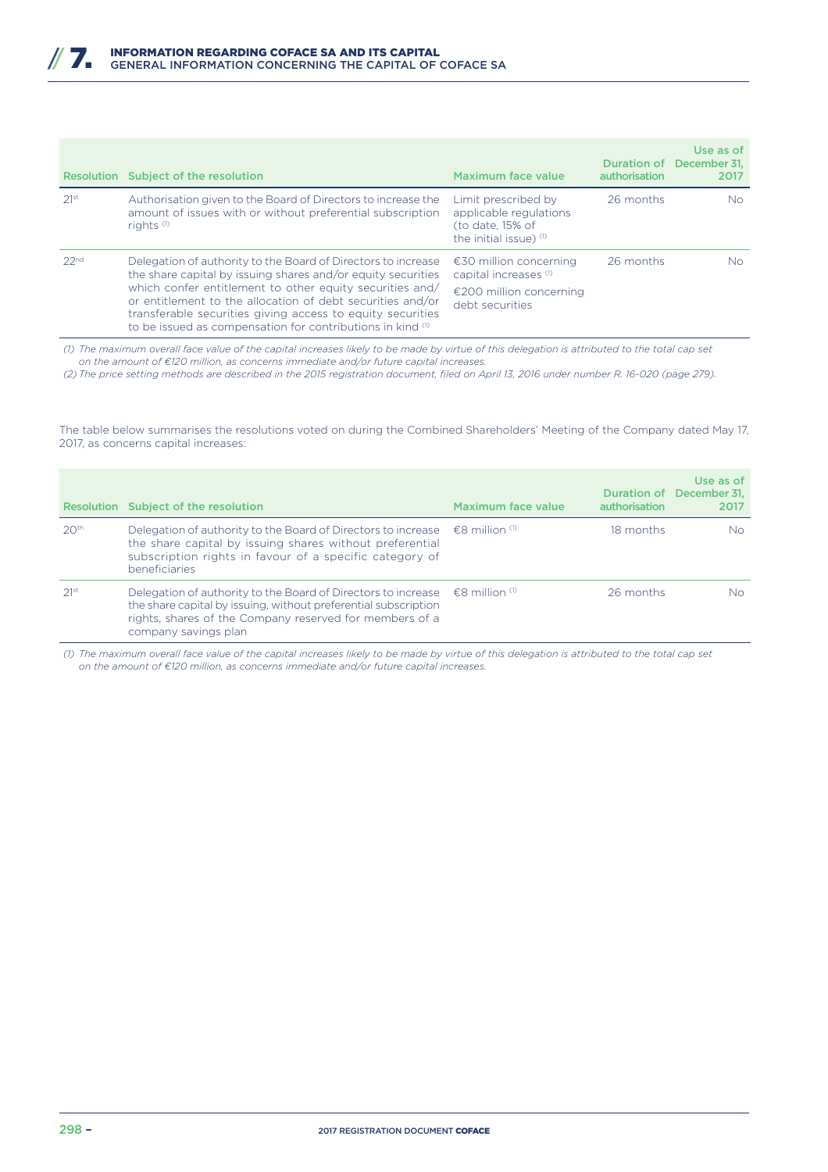|                  | Resolution Subject of the resolution                                                                                                                                                                                                                                                                                                                                                | Maximum face value                                                                                       | authorisation | Use as of<br>Duration of December 31.<br>2017 |
|------------------|-------------------------------------------------------------------------------------------------------------------------------------------------------------------------------------------------------------------------------------------------------------------------------------------------------------------------------------------------------------------------------------|----------------------------------------------------------------------------------------------------------|---------------|-----------------------------------------------|
| 21st             | Authorisation given to the Board of Directors to increase the<br>amount of issues with or without preferential subscription<br>rights $(1)$                                                                                                                                                                                                                                         | Limit prescribed by<br>applicable regulations<br>(to date, 15% of<br>the initial issue) $(1)$            | 26 months     | No.                                           |
| 22 <sub>nd</sub> | Delegation of authority to the Board of Directors to increase<br>the share capital by issuing shares and/or equity securities<br>which confer entitlement to other equity securities and/<br>or entitlement to the allocation of debt securities and/or<br>transferable securities giving access to equity securities<br>to be issued as compensation for contributions in kind (1) | €30 million concerning<br>capital increases <sup>(1)</sup><br>€200 million concerning<br>debt securities | 26 months     | No.                                           |

*(1) The maximum overall face value of the capital increases likely to be made by virtue of this delegation is attributed to the total cap set on the amount of €120 million, as concerns immediate and/or future capital increases.*

*(2) The price setting methods are described in the 2015 registration document, filed on April 13, 2016 under number R. 16-020 (page 279).*

The table below summarises the resolutions voted on during the Combined Shareholders' Meeting of the Company dated May 17, 2017, as concerns capital increases:

|                  | Resolution Subject of the resolution                                                                                                                                                                                                                               | Maximum face value          | authorisation | Use as of<br>Duration of December 31.<br>2017 |
|------------------|--------------------------------------------------------------------------------------------------------------------------------------------------------------------------------------------------------------------------------------------------------------------|-----------------------------|---------------|-----------------------------------------------|
| 20 <sup>th</sup> | Delegation of authority to the Board of Directors to increase<br>the share capital by issuing shares without preferential<br>subscription rights in favour of a specific category of<br>beneficiaries                                                              | $\epsilon$ 8 million $\Phi$ | 18 months     | No.                                           |
| 21st             | Delegation of authority to the Board of Directors to increase $\epsilon$ $\epsilon$ 8 million <sup>(1)</sup><br>the share capital by issuing, without preferential subscription<br>rights, shares of the Company reserved for members of a<br>company savings plan |                             | 26 months     | No.                                           |

*(1) The maximum overall face value of the capital increases likely to be made by virtue of this delegation is attributed to the total cap set on the amount of €120 million, as concerns immediate and/or future capital increases.*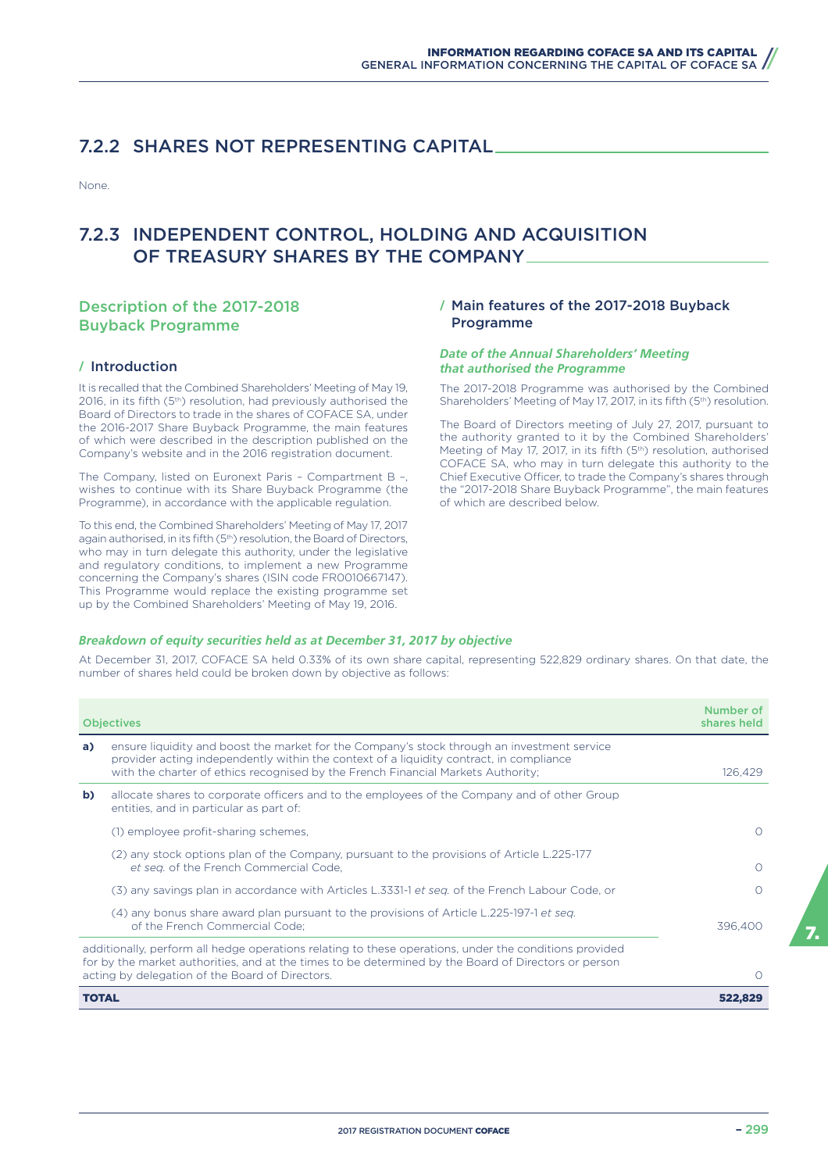### 7.2.2 SHARES NOT REPRESENTING CAPITAL

None.

### 7.2.3 INDEPENDENT CONTROL, HOLDING AND ACQUISITION OF TREASURY SHARES BY THE COMPANY

### Description of the 2017-2018 Buyback Programme

### **/** Introduction

It is recalled that the Combined Shareholders' Meeting of May 19, 2016, in its fifth (5<sup>th</sup>) resolution, had previously authorised the Board of Directors to trade in the shares of COFACE SA, under the 2016-2017 Share Buyback Programme, the main features of which were described in the description published on the Company's website and in the 2016 registration document.

The Company, listed on Euronext Paris – Compartment B –, wishes to continue with its Share Buyback Programme (the Programme), in accordance with the applicable regulation.

To this end, the Combined Shareholders' Meeting of May 17, 2017 again authorised, in its fifth (5<sup>th</sup>) resolution, the Board of Directors, who may in turn delegate this authority, under the legislative and regulatory conditions, to implement a new Programme concerning the Company's shares (ISIN code FR0010667147). This Programme would replace the existing programme set up by the Combined Shareholders' Meeting of May 19, 2016.

### **/** Main features of the 2017-2018 Buyback Programme

### *Date of the Annual Shareholders' Meeting that authorised the Programme*

The 2017-2018 Programme was authorised by the Combined Shareholders' Meeting of May 17, 2017, in its fifth (5<sup>th</sup>) resolution.

The Board of Directors meeting of July 27, 2017, pursuant to the authority granted to it by the Combined Shareholders' Meeting of May 17, 2017, in its fifth (5<sup>th</sup>) resolution, authorised COFACE SA, who may in turn delegate this authority to the Chief Executive Officer, to trade the Company's shares through the "2017-2018 Share Buyback Programme", the main features of which are described below.

### *Breakdown of equity securities held as at December 31, 2017 by objective*

At December 31, 2017, COFACE SA held 0.33% of its own share capital, representing 522,829 ordinary shares. On that date, the number of shares held could be broken down by objective as follows:

|              | <b>Objectives</b>                                                                                                                                                                                                                                                          | Number of<br>shares held |
|--------------|----------------------------------------------------------------------------------------------------------------------------------------------------------------------------------------------------------------------------------------------------------------------------|--------------------------|
| a)           | ensure liquidity and boost the market for the Company's stock through an investment service<br>provider acting independently within the context of a liquidity contract, in compliance<br>with the charter of ethics recognised by the French Financial Markets Authority; | 126.429                  |
| b)           | allocate shares to corporate officers and to the employees of the Company and of other Group<br>entities, and in particular as part of:                                                                                                                                    |                          |
|              | (1) employee profit-sharing schemes,                                                                                                                                                                                                                                       | ∩                        |
|              | (2) any stock options plan of the Company, pursuant to the provisions of Article L.225-177<br>et seq. of the French Commercial Code,                                                                                                                                       | ∩                        |
|              | (3) any savings plan in accordance with Articles L.3331-1 et seg. of the French Labour Code, or                                                                                                                                                                            |                          |
|              | (4) any bonus share award plan pursuant to the provisions of Article L.225-197-1 et seg.<br>of the French Commercial Code:                                                                                                                                                 | 396,400                  |
|              | additionally, perform all hedge operations relating to these operations, under the conditions provided<br>for by the market authorities, and at the times to be determined by the Board of Directors or person<br>acting by delegation of the Board of Directors.          |                          |
| <b>TOTAL</b> |                                                                                                                                                                                                                                                                            | 522.829                  |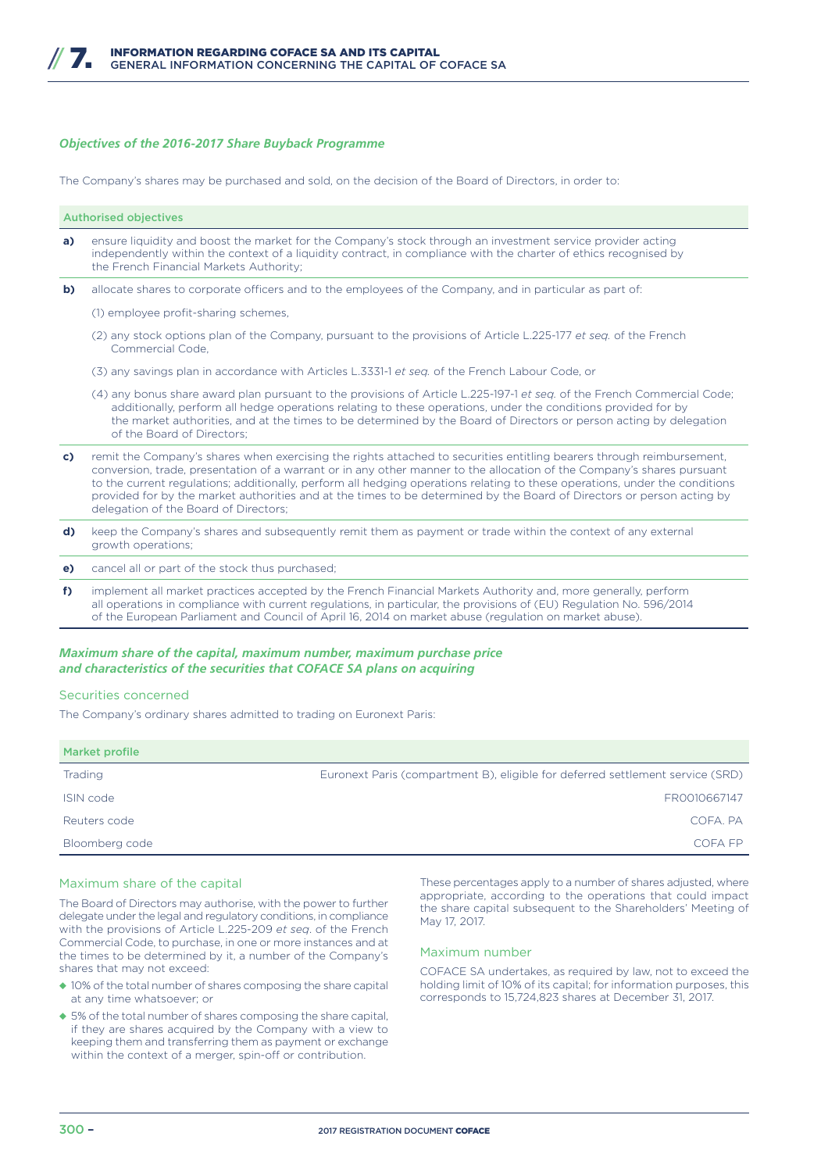#### *Objectives of the 2016-2017 Share Buyback Programme*

The Company's shares may be purchased and sold, on the decision of the Board of Directors, in order to:

Authorised objectives **a)** ensure liquidity and boost the market for the Company's stock through an investment service provider acting independently within the context of a liquidity contract, in compliance with the charter of ethics recognised by the French Financial Markets Authority;

**b)** allocate shares to corporate officers and to the employees of the Company, and in particular as part of:

(1) employee profit-sharing schemes,

- (2) any stock options plan of the Company, pursuant to the provisions of Article L.225-177 *et seq.* of the French Commercial Code,
- (3) any savings plan in accordance with Articles L.3331-1 *et seq.* of the French Labour Code, or
- (4) any bonus share award plan pursuant to the provisions of Article L.225-197-1 *et seq.* of the French Commercial Code; additionally, perform all hedge operations relating to these operations, under the conditions provided for by the market authorities, and at the times to be determined by the Board of Directors or person acting by delegation of the Board of Directors;
- **c)** remit the Company's shares when exercising the rights attached to securities entitling bearers through reimbursement, conversion, trade, presentation of a warrant or in any other manner to the allocation of the Company's shares pursuant to the current regulations; additionally, perform all hedging operations relating to these operations, under the conditions provided for by the market authorities and at the times to be determined by the Board of Directors or person acting by delegation of the Board of Directors;
- **d)** keep the Company's shares and subsequently remit them as payment or trade within the context of any external growth operations;
- **e)** cancel all or part of the stock thus purchased;
- **f)** implement all market practices accepted by the French Financial Markets Authority and, more generally, perform all operations in compliance with current regulations, in particular, the provisions of (EU) Regulation No. 596/2014 of the European Parliament and Council of April 16, 2014 on market abuse (regulation on market abuse).

### *Maximum share of the capital, maximum number, maximum purchase price and characteristics of the securities that COFACE SA plans on acquiring*

#### Securities concerned

The Company's ordinary shares admitted to trading on Euronext Paris:

| Market profile |                                                                                |
|----------------|--------------------------------------------------------------------------------|
| <b>Trading</b> | Euronext Paris (compartment B), eligible for deferred settlement service (SRD) |
| ISIN code      | FR0010667147                                                                   |
| Reuters code   | COFA, PA                                                                       |
| Bloomberg code | COFA FP                                                                        |

#### Maximum share of the capital

The Board of Directors may authorise, with the power to further delegate under the legal and regulatory conditions, in compliance with the provisions of Article L.225-209 *et seq*. of the French Commercial Code, to purchase, in one or more instances and at the times to be determined by it, a number of the Company's shares that may not exceed:

- ◆ 10% of the total number of shares composing the share capital at any time whatsoever; or
- ◆ 5% of the total number of shares composing the share capital, if they are shares acquired by the Company with a view to keeping them and transferring them as payment or exchange within the context of a merger, spin-off or contribution.

These percentages apply to a number of shares adjusted, where appropriate, according to the operations that could impact the share capital subsequent to the Shareholders' Meeting of May 17, 2017.

### Maximum number

COFACE SA undertakes, as required by law, not to exceed the holding limit of 10% of its capital; for information purposes, this corresponds to 15,724,823 shares at December 31, 2017.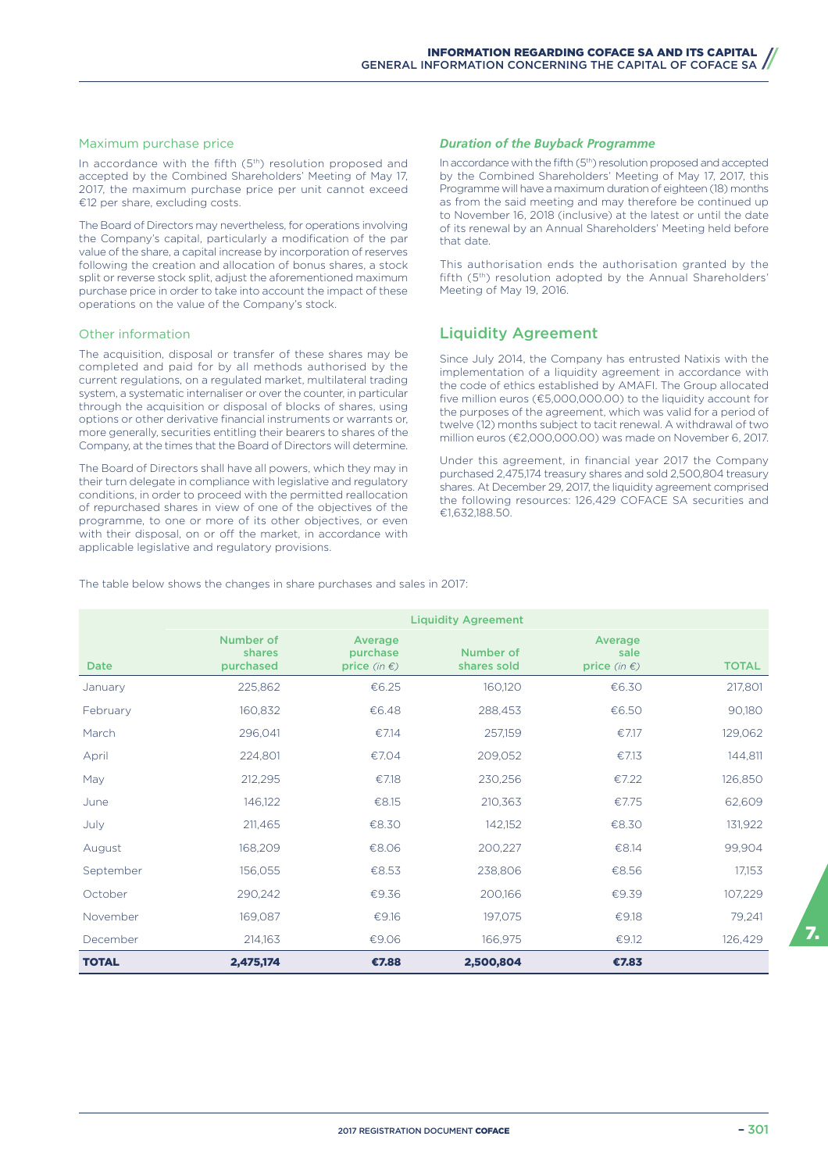#### Maximum purchase price

In accordance with the fifth (5<sup>th</sup>) resolution proposed and accepted by the Combined Shareholders' Meeting of May 17, 2017, the maximum purchase price per unit cannot exceed €12 per share, excluding costs.

The Board of Directors may nevertheless, for operations involving the Company's capital, particularly a modification of the par value of the share, a capital increase by incorporation of reserves following the creation and allocation of bonus shares, a stock split or reverse stock split, adjust the aforementioned maximum purchase price in order to take into account the impact of these operations on the value of the Company's stock.

#### Other information

The acquisition, disposal or transfer of these shares may be completed and paid for by all methods authorised by the current regulations, on a regulated market, multilateral trading system, a systematic internaliser or over the counter, in particular through the acquisition or disposal of blocks of shares, using options or other derivative financial instruments or warrants or, more generally, securities entitling their bearers to shares of the Company, at the times that the Board of Directors will determine.

The Board of Directors shall have all powers, which they may in their turn delegate in compliance with legislative and regulatory conditions, in order to proceed with the permitted reallocation of repurchased shares in view of one of the objectives of the programme, to one or more of its other objectives, or even with their disposal, on or off the market, in accordance with applicable legislative and regulatory provisions.

#### *Duration of the Buyback Programme*

In accordance with the fifth (5<sup>th</sup>) resolution proposed and accepted by the Combined Shareholders' Meeting of May 17, 2017, this Programme will have a maximum duration of eighteen (18) months as from the said meeting and may therefore be continued up to November 16, 2018 (inclusive) at the latest or until the date of its renewal by an Annual Shareholders' Meeting held before that date.

This authorisation ends the authorisation granted by the fifth (5<sup>th</sup>) resolution adopted by the Annual Shareholders' Meeting of May 19, 2016.

### Liquidity Agreement

Since July 2014, the Company has entrusted Natixis with the implementation of a liquidity agreement in accordance with the code of ethics established by AMAFI. The Group allocated five million euros (€5,000,000.00) to the liquidity account for the purposes of the agreement, which was valid for a period of twelve (12) months subject to tacit renewal. A withdrawal of two million euros (€2,000,000.00) was made on November 6, 2017.

Under this agreement, in financial year 2017 the Company purchased 2,475,174 treasury shares and sold 2,500,804 treasury shares. At December 29, 2017, the liquidity agreement comprised the following resources: 126,429 COFACE SA securities and €1,632,188.50.

The table below shows the changes in share purchases and sales in 2017:

|              | <b>Liquidity Agreement</b>       |                                               |                          |                                           |              |  |  |
|--------------|----------------------------------|-----------------------------------------------|--------------------------|-------------------------------------------|--------------|--|--|
| <b>Date</b>  | Number of<br>shares<br>purchased | Average<br>purchase<br>price (in $\epsilon$ ) | Number of<br>shares sold | Average<br>sale<br>price (in $\epsilon$ ) | <b>TOTAL</b> |  |  |
| January      | 225,862                          | €6.25                                         | 160,120                  | €6.30                                     | 217,801      |  |  |
| February     | 160,832                          | €6.48                                         | 288,453                  | €6.50                                     | 90,180       |  |  |
| March        | 296,041                          | €7.14                                         | 257,159                  | €7.17                                     | 129,062      |  |  |
| April        | 224,801                          | €7.04                                         | 209,052                  | €7.13                                     | 144,811      |  |  |
| May          | 212,295                          | €7.18                                         | 230,256                  | €7.22                                     | 126,850      |  |  |
| June         | 146,122                          | €8.15                                         | 210,363                  | €7.75                                     | 62,609       |  |  |
| July         | 211,465                          | €8.30                                         | 142,152                  | €8.30                                     | 131,922      |  |  |
| August       | 168,209                          | €8.06                                         | 200,227                  | €8.14                                     | 99,904       |  |  |
| September    | 156,055                          | €8.53                                         | 238,806                  | €8.56                                     | 17,153       |  |  |
| October      | 290,242                          | €9.36                                         | 200,166                  | €9.39                                     | 107,229      |  |  |
| November     | 169,087                          | €9.16                                         | 197,075                  | €9.18                                     | 79,241       |  |  |
| December     | 214,163                          | €9.06                                         | 166,975                  | €9.12                                     | 126,429      |  |  |
| <b>TOTAL</b> | 2,475,174                        | €7.88                                         | 2,500,804                | €7.83                                     |              |  |  |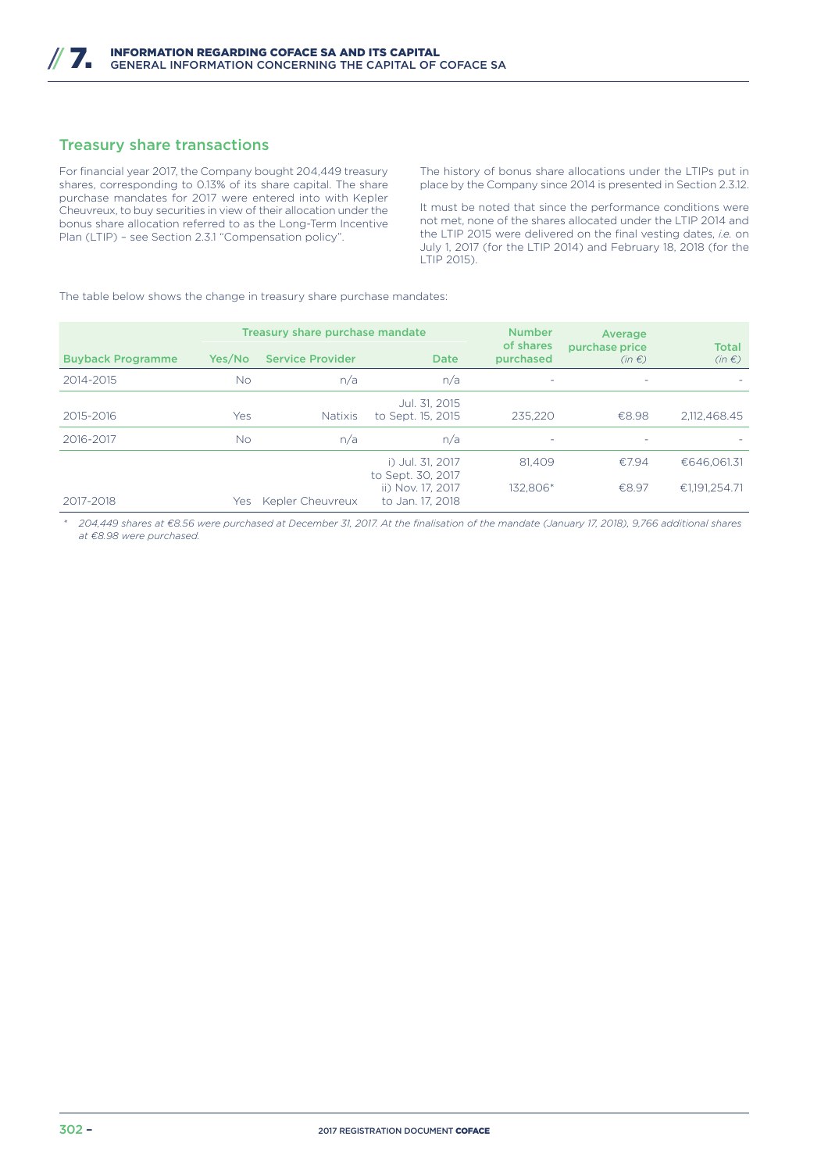### Treasury share transactions

For financial year 2017, the Company bought 204,449 treasury shares, corresponding to 0.13% of its share capital. The share purchase mandates for 2017 were entered into with Kepler Cheuvreux, to buy securities in view of their allocation under the bonus share allocation referred to as the Long-Term Incentive Plan (LTIP) – see Section 2.3.1 "Compensation policy".

The history of bonus share allocations under the LTIPs put in place by the Company since 2014 is presented in Section 2.3.12.

It must be noted that since the performance conditions were not met, none of the shares allocated under the LTIP 2014 and the LTIP 2015 were delivered on the final vesting dates, *i.e.* on July 1, 2017 (for the LTIP 2014) and February 18, 2018 (for the LTIP 2015).

The table below shows the change in treasury share purchase mandates:

|                          |        | Treasury share purchase mandate |                                                                                | <b>Number</b>            | Average                      |                              |  |
|--------------------------|--------|---------------------------------|--------------------------------------------------------------------------------|--------------------------|------------------------------|------------------------------|--|
| <b>Buyback Programme</b> | Yes/No | <b>Service Provider</b>         | <b>Date</b>                                                                    | of shares<br>purchased   | purchase price<br>$(in \in)$ | <b>Total</b><br>$(in \in)$   |  |
| 2014-2015                | No.    | n/a                             | n/a                                                                            | ٠                        | -                            |                              |  |
| 2015-2016                | Yes    | <b>Natixis</b>                  | Jul. 31, 2015<br>to Sept. 15, 2015                                             | 235.220                  | €8.98                        | 2.112.468.45                 |  |
| 2016-2017                | No.    | n/a                             | n/a                                                                            | $\overline{\phantom{a}}$ |                              |                              |  |
| 2017-2018                | Yes    | Kepler Cheuvreux                | i) Jul. 31, 2017<br>to Sept. 30, 2017<br>ii) Nov. 17, 2017<br>to Jan. 17, 2018 | 81.409<br>132.806*       | €7.94<br>€8.97               | €646.061.31<br>€1.191.254.71 |  |

*\* 204,449 shares at €8.56 were purchased at December 31, 2017. At the finalisation of the mandate (January 17, 2018), 9,766 additional shares at €8.98 were purchased.*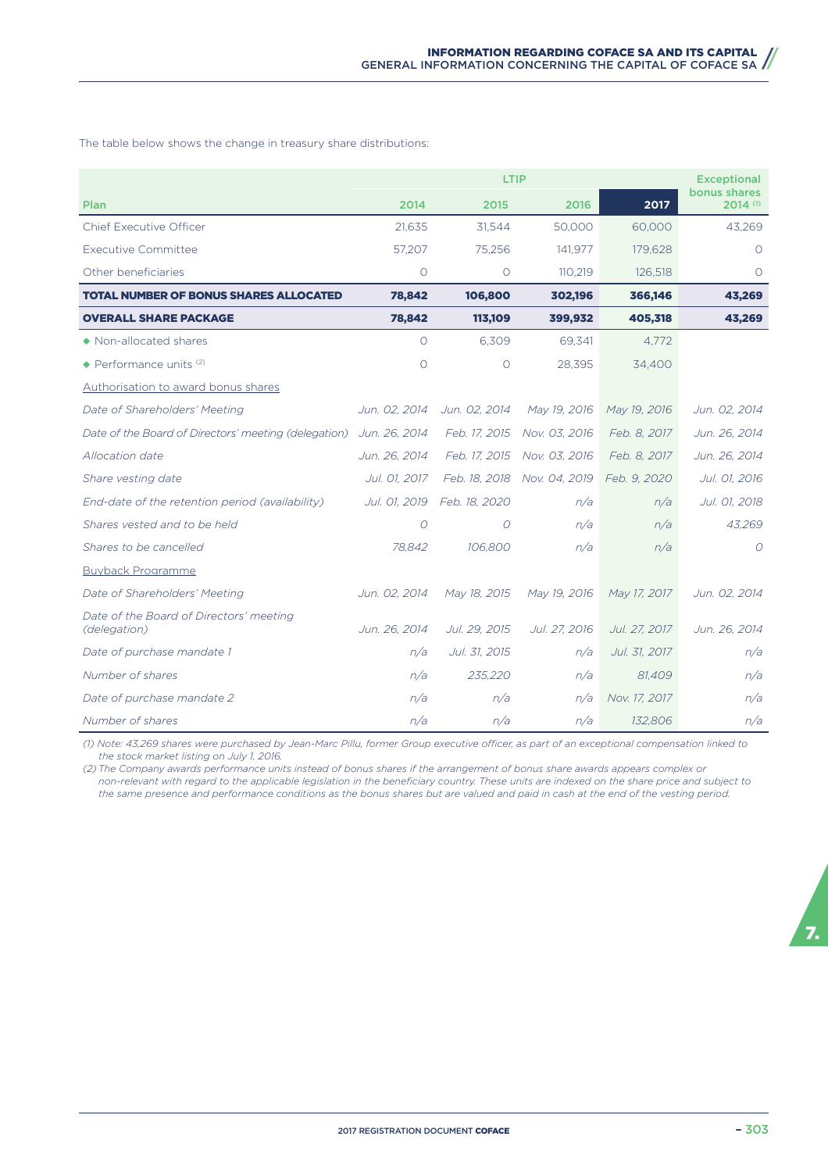The table below shows the change in treasury share distributions:

|                                                         | LTIP          |               |               |               | <b>Exceptional</b>                |
|---------------------------------------------------------|---------------|---------------|---------------|---------------|-----------------------------------|
| Plan                                                    | 2014          | 2015          | 2016          | 2017          | bonus shares<br>$2014$ $^{\circ}$ |
| <b>Chief Executive Officer</b>                          | 21,635        | 31,544        | 50,000        | 60,000        | 43,269                            |
| <b>Executive Committee</b>                              | 57,207        | 75,256        | 141,977       | 179,628       | $\Omega$                          |
| Other beneficiaries                                     | $\circ$       | $\circ$       | 110,219       | 126,518       | $\circ$                           |
| <b>TOTAL NUMBER OF BONUS SHARES ALLOCATED</b>           | 78,842        | 106,800       | 302,196       | 366,146       | 43,269                            |
| <b>OVERALL SHARE PACKAGE</b>                            | 78,842        | 113,109       | 399,932       | 405,318       | 43,269                            |
| • Non-allocated shares                                  | $\Omega$      | 6,309         | 69,341        | 4.772         |                                   |
| $\triangle$ Performance units (2)                       | $\circ$       | $\circ$       | 28,395        | 34,400        |                                   |
| Authorisation to award bonus shares                     |               |               |               |               |                                   |
| Date of Shareholders' Meeting                           | Jun. 02. 2014 | Jun. 02. 2014 | May 19, 2016  | May 19, 2016  | Jun. 02, 2014                     |
| Date of the Board of Directors' meeting (delegation)    | Jun. 26, 2014 | Feb. 17, 2015 | Nov. 03, 2016 | Feb. 8, 2017  | Jun. 26, 2014                     |
| Allocation date                                         | Jun. 26, 2014 | Feb. 17, 2015 | Nov. 03, 2016 | Feb. 8, 2017  | Jun. 26, 2014                     |
| Share vesting date                                      | Jul. 01, 2017 | Feb. 18, 2018 | Nov. 04, 2019 | Feb. 9, 2020  | Jul. 01, 2016                     |
| End-date of the retention period (availability)         | Jul. 01, 2019 | Feb. 18, 2020 | n/a           | n/a           | Jul. 01, 2018                     |
| Shares vested and to be held                            | O             | $\Omega$      | n/a           | n/a           | 43,269                            |
| Shares to be cancelled                                  | 78,842        | 106,800       | n/a           | n/a           | $\Omega$                          |
| <b>Buyback Programme</b>                                |               |               |               |               |                                   |
| Date of Shareholders' Meeting                           | Jun. 02, 2014 | May 18, 2015  | May 19, 2016  | May 17, 2017  | Jun. 02, 2014                     |
| Date of the Board of Directors' meeting<br>(delegation) | Jun. 26, 2014 | Jul. 29, 2015 | Jul. 27, 2016 | Jul. 27, 2017 | Jun. 26, 2014                     |
| Date of purchase mandate 1                              | n/a           | Jul. 31, 2015 | n/a           | Jul. 31, 2017 | n/a                               |
| Number of shares                                        | n/a           | 235,220       | n/a           | 81,409        | n/a                               |
| Date of purchase mandate 2                              | n/a           | n/a           | n/a           | Nov. 17, 2017 | n/a                               |
| Number of shares                                        | n/a           | n/a           | n/a           | 132,806       | n/a                               |

*(1) Note: 43,269 shares were purchased by Jean-Marc Pillu, former Group executive o\cer, as part of an exceptional compensation linked to the stock market listing on July 1, 2016.*

*(2) The Company awards performance units instead of bonus shares if the arrangement of bonus share awards appears complex or non-relevant with regard to the applicable legislation in the beneficiary country. These units are indexed on the share price and subject to the same presence and performance conditions as the bonus shares but are valued and paid in cash at the end of the vesting period.*

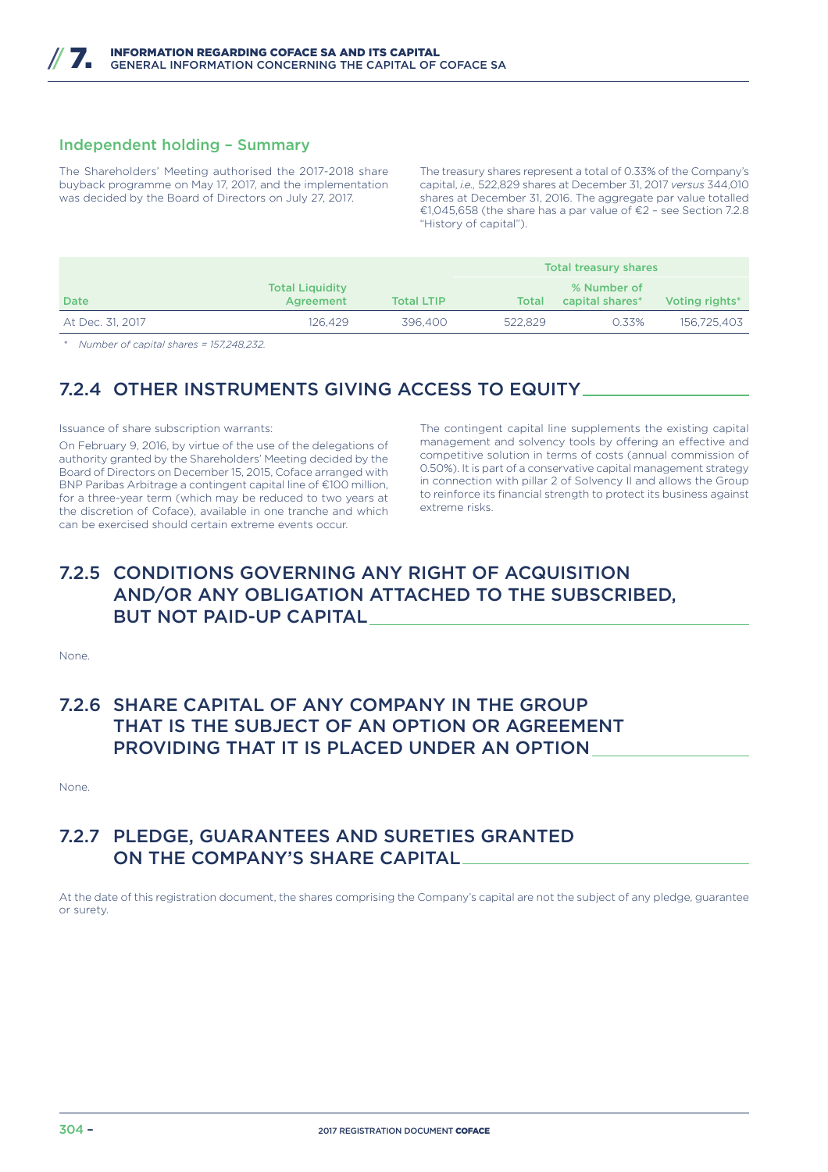### Independent holding – Summary

The Shareholders' Meeting authorised the 2017-2018 share buyback programme on May 17, 2017, and the implementation was decided by the Board of Directors on July 27, 2017.

The treasury shares represent a total of 0.33% of the Company's capital, *i.e.,* 522,829 shares at December 31, 2017 *versus* 344,010 shares at December 31, 2016. The aggregate par value totalled €1,045,658 (the share has a par value of €2 – see Section 7.2.8 "History of capital").

|                  |                                     |                   | <b>Total treasury shares</b> |                                |                |
|------------------|-------------------------------------|-------------------|------------------------------|--------------------------------|----------------|
| <b>Date</b>      | <b>Total Liquidity</b><br>Agreement | <b>Total LTIP</b> | Total                        | % Number of<br>capital shares* | Voting rights* |
| At Dec. 31, 2017 | 126.429                             | 396,400           | 522.829                      | 0.33%                          | 156.725.403    |

*\* Number of capital shares = 157,248,232.*

### 7.2.4 OTHER INSTRUMENTS GIVING ACCESS TO EQUITY

Issuance of share subscription warrants:

On February 9, 2016, by virtue of the use of the delegations of authority granted by the Shareholders' Meeting decided by the Board of Directors on December 15, 2015, Coface arranged with BNP Paribas Arbitrage a contingent capital line of €100 million, for a three-year term (which may be reduced to two years at the discretion of Coface), available in one tranche and which can be exercised should certain extreme events occur.

The contingent capital line supplements the existing capital management and solvency tools by offering an effective and competitive solution in terms of costs (annual commission of 0.50%). It is part of a conservative capital management strategy in connection with pillar 2 of Solvency II and allows the Group to reinforce its financial strength to protect its business against extreme risks.

# 7.2.5 CONDITIONS GOVERNING ANY RIGHT OF ACQUISITION AND/OR ANY OBLIGATION ATTACHED TO THE SUBSCRIBED, BUT NOT PAID-UP CAPITAL

None.

# 7.2.6 SHARE CAPITAL OF ANY COMPANY IN THE GROUP THAT IS THE SUBJECT OF AN OPTION OR AGREEMENT PROVIDING THAT IT IS PLACED UNDER AN OPTION

None.

### 7.2.7 PLEDGE, GUARANTEES AND SURETIES GRANTED ON THE COMPANY'S SHARE CAPITAL

At the date of this registration document, the shares comprising the Company's capital are not the subject of any pledge, guarantee or surety.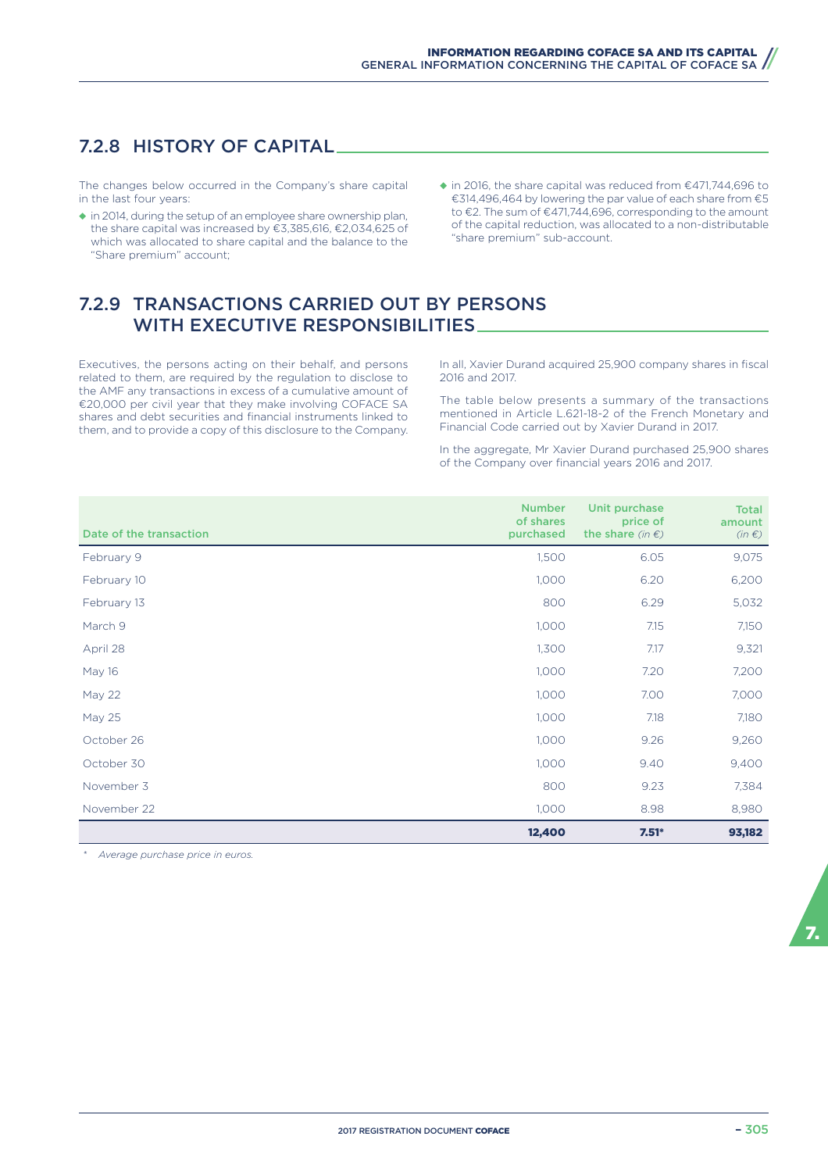# 7.2.8 HISTORY OF CAPITAL

The changes below occurred in the Company's share capital in the last four years:

- ◆ in 2014, during the setup of an employee share ownership plan, the share capital was increased by €3,385,616, €2,034,625 of which was allocated to share capital and the balance to the "Share premium" account;
- ◆ in 2016, the share capital was reduced from €471,744,696 to €314,496,464 by lowering the par value of each share from €5 to €2. The sum of €471,744,696, corresponding to the amount of the capital reduction, was allocated to a non-distributable "share premium" sub-account.

# 7.2.9 TRANSACTIONS CARRIED OUT BY PERSONS WITH EXECUTIVE RESPONSIBILITIES

Executives, the persons acting on their behalf, and persons related to them, are required by the regulation to disclose to the AMF any transactions in excess of a cumulative amount of €20,000 per civil year that they make involving COFACE SA shares and debt securities and financial instruments linked to them, and to provide a copy of this disclosure to the Company.

In all, Xavier Durand acquired 25,900 company shares in fiscal 2016 and 2017.

The table below presents a summary of the transactions mentioned in Article L.621-18-2 of the French Monetary and Financial Code carried out by Xavier Durand in 2017.

In the aggregate, Mr Xavier Durand purchased 25,900 shares of the Company over financial years 2016 and 2017.

| Date of the transaction | <b>Number</b><br>of shares<br>purchased | Unit purchase<br>price of<br>the share (in $\epsilon$ ) | <b>Total</b><br>amount<br>$(in \in)$ |
|-------------------------|-----------------------------------------|---------------------------------------------------------|--------------------------------------|
| February 9              | 1,500                                   | 6.05                                                    | 9,075                                |
| February 10             | 1,000                                   | 6.20                                                    | 6,200                                |
| February 13             | 800                                     | 6.29                                                    | 5,032                                |
| March 9                 | 1,000                                   | 7.15                                                    | 7,150                                |
| April 28                | 1,300                                   | 7.17                                                    | 9,321                                |
| May 16                  | 1,000                                   | 7.20                                                    | 7,200                                |
| <b>May 22</b>           | 1,000                                   | 7.00                                                    | 7,000                                |
| May 25                  | 1,000                                   | 7.18                                                    | 7,180                                |
| October 26              | 1,000                                   | 9.26                                                    | 9,260                                |
| October 30              | 1,000                                   | 9.40                                                    | 9,400                                |
| November 3              | 800                                     | 9.23                                                    | 7,384                                |
| November 22             | 1,000                                   | 8.98                                                    | 8,980                                |
|                         | 12,400                                  | $7.51*$                                                 | 93,182                               |

*\* Average purchase price in euros.*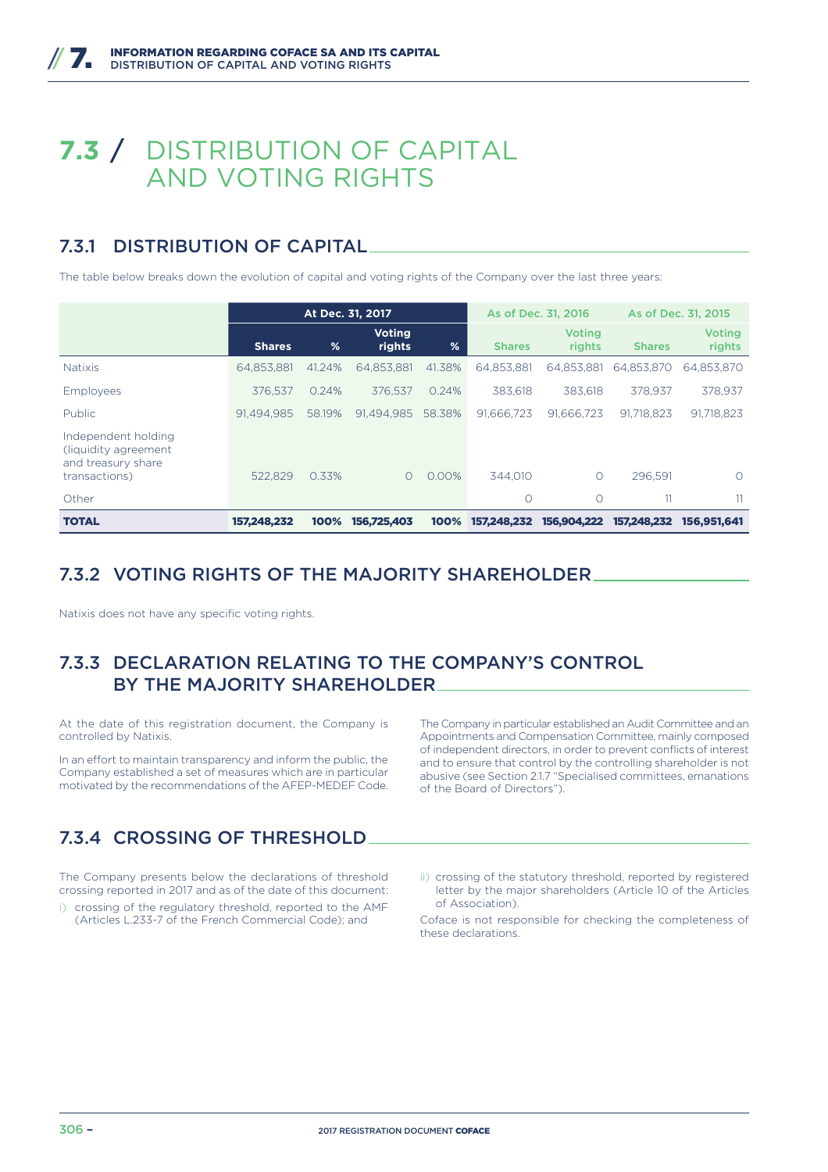# **7.3** / DISTRIBUTION OF CAPITAL AND VOTING RIGHTS

# 7.3.1 DISTRIBUTION OF CAPITAL

The table below breaks down the evolution of capital and voting rights of the Company over the last three years:

|                                                                                     | At Dec. 31, 2017 |        |                         |        | As of Dec. 31, 2016 | As of Dec. 31, 2015     |               |                         |
|-------------------------------------------------------------------------------------|------------------|--------|-------------------------|--------|---------------------|-------------------------|---------------|-------------------------|
|                                                                                     | <b>Shares</b>    | %      | <b>Voting</b><br>rights | %      | <b>Shares</b>       | <b>Voting</b><br>rights | <b>Shares</b> | <b>Voting</b><br>rights |
| <b>Natixis</b>                                                                      | 64,853,881       | 41.24% | 64.853.881              | 41.38% | 64,853,881          | 64,853,881              | 64.853.870    | 64,853,870              |
| Employees                                                                           | 376.537          | 0.24%  | 376.537                 | 0.24%  | 383.618             | 383.618                 | 378.937       | 378.937                 |
| Public                                                                              | 91.494.985       | 58.19% | 91.494.985              | 58.38% | 91.666.723          | 91.666.723              | 91.718.823    | 91,718,823              |
| Independent holding<br>(liquidity agreement)<br>and treasury share<br>transactions) | 522.829          | 0.33%  | $\Omega$                | 0.00%  | 344.010             | O                       | 296.591       | O                       |
| Other                                                                               |                  |        |                         |        | $\circ$             | $\circ$                 | 11            | 11                      |
| <b>TOTAL</b>                                                                        | 157.248.232      | 100%   | 156.725.403             | 100%   | 157,248,232         | 156,904,222             | 157,248,232   | 156,951,641             |

### 7.3.2 VOTING RIGHTS OF THE MAJORITY SHAREHOLDER

Natixis does not have any specific voting rights.

# 7.3.3 DECLARATION RELATING TO THE COMPANY'S CONTROL BY THE MAJORITY SHAREHOLDER

At the date of this registration document, the Company is controlled by Natixis.

In an effort to maintain transparency and inform the public, the Company established a set of measures which are in particular motivated by the recommendations of the AFEP-MEDEF Code.

The Company in particular established an Audit Committee and an Appointments and Compensation Committee, mainly composed of independent directors, in order to prevent conflicts of interest and to ensure that control by the controlling shareholder is not abusive (see Section 2.1.7 "Specialised committees, emanations of the Board of Directors").

# 7.3.4 CROSSING OF THRESHOLD

The Company presents below the declarations of threshold crossing reported in 2017 and as of the date of this document:

- i) crossing of the regulatory threshold, reported to the AMF (Articles L.233-7 of the French Commercial Code); and
- ii) crossing of the statutory threshold, reported by registered letter by the major shareholders (Article 10 of the Articles of Association).

Coface is not responsible for checking the completeness of these declarations.